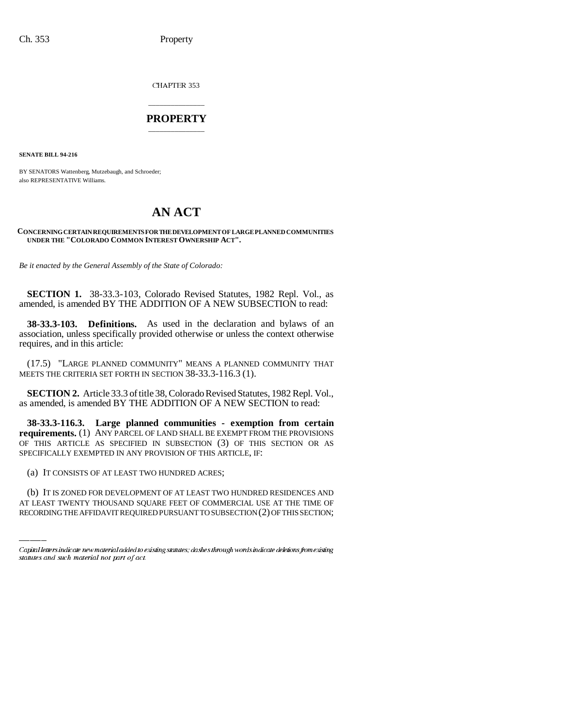CHAPTER 353

## \_\_\_\_\_\_\_\_\_\_\_\_\_\_\_ **PROPERTY** \_\_\_\_\_\_\_\_\_\_\_\_\_\_\_

**SENATE BILL 94-216**

BY SENATORS Wattenberg, Mutzebaugh, and Schroeder; also REPRESENTATIVE Williams.

## **AN ACT**

## **CONCERNING CERTAIN REQUIREMENTS FOR THE DEVELOPMENT OF LARGE PLANNED COMMUNITIES UNDER THE "COLORADO COMMON INTEREST OWNERSHIP ACT".**

*Be it enacted by the General Assembly of the State of Colorado:*

**SECTION 1.** 38-33.3-103, Colorado Revised Statutes, 1982 Repl. Vol., as amended, is amended BY THE ADDITION OF A NEW SUBSECTION to read:

**38-33.3-103. Definitions.** As used in the declaration and bylaws of an association, unless specifically provided otherwise or unless the context otherwise requires, and in this article:

(17.5) "LARGE PLANNED COMMUNITY" MEANS A PLANNED COMMUNITY THAT MEETS THE CRITERIA SET FORTH IN SECTION 38-33.3-116.3 (1).

**SECTION 2.** Article 33.3 of title 38, Colorado Revised Statutes, 1982 Repl. Vol., as amended, is amended BY THE ADDITION OF A NEW SECTION to read:

**38-33.3-116.3. Large planned communities - exemption from certain requirements.** (1) ANY PARCEL OF LAND SHALL BE EXEMPT FROM THE PROVISIONS OF THIS ARTICLE AS SPECIFIED IN SUBSECTION (3) OF THIS SECTION OR AS SPECIFICALLY EXEMPTED IN ANY PROVISION OF THIS ARTICLE, IF:

(a) IT CONSISTS OF AT LEAST TWO HUNDRED ACRES;

(b) IT IS ZONED FOR DEVELOPMENT OF AT LEAST TWO HUNDRED RESIDENCES AND AT LEAST TWENTY THOUSAND SQUARE FEET OF COMMERCIAL USE AT THE TIME OF RECORDING THE AFFIDAVIT REQUIRED PURSUANT TO SUBSECTION (2) OF THIS SECTION;

Capital letters indicate new material added to existing statutes; dashes through words indicate deletions from existing statutes and such material not part of act.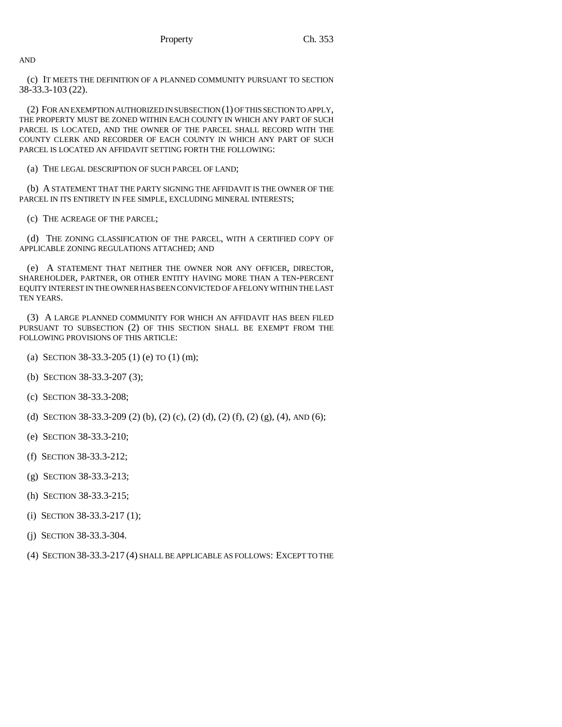AND

(c) IT MEETS THE DEFINITION OF A PLANNED COMMUNITY PURSUANT TO SECTION 38-33.3-103 (22).

(2) FOR AN EXEMPTION AUTHORIZED IN SUBSECTION (1) OF THIS SECTION TO APPLY, THE PROPERTY MUST BE ZONED WITHIN EACH COUNTY IN WHICH ANY PART OF SUCH PARCEL IS LOCATED, AND THE OWNER OF THE PARCEL SHALL RECORD WITH THE COUNTY CLERK AND RECORDER OF EACH COUNTY IN WHICH ANY PART OF SUCH PARCEL IS LOCATED AN AFFIDAVIT SETTING FORTH THE FOLLOWING:

(a) THE LEGAL DESCRIPTION OF SUCH PARCEL OF LAND;

(b) A STATEMENT THAT THE PARTY SIGNING THE AFFIDAVIT IS THE OWNER OF THE PARCEL IN ITS ENTIRETY IN FEE SIMPLE, EXCLUDING MINERAL INTERESTS;

(c) THE ACREAGE OF THE PARCEL;

(d) THE ZONING CLASSIFICATION OF THE PARCEL, WITH A CERTIFIED COPY OF APPLICABLE ZONING REGULATIONS ATTACHED; AND

(e) A STATEMENT THAT NEITHER THE OWNER NOR ANY OFFICER, DIRECTOR, SHAREHOLDER, PARTNER, OR OTHER ENTITY HAVING MORE THAN A TEN-PERCENT EQUITY INTEREST IN THE OWNER HAS BEEN CONVICTED OF A FELONY WITHIN THE LAST TEN YEARS.

(3) A LARGE PLANNED COMMUNITY FOR WHICH AN AFFIDAVIT HAS BEEN FILED PURSUANT TO SUBSECTION (2) OF THIS SECTION SHALL BE EXEMPT FROM THE FOLLOWING PROVISIONS OF THIS ARTICLE:

- (a) SECTION 38-33.3-205 (1) (e) TO (1) (m);
- (b) SECTION 38-33.3-207 (3);
- (c) SECTION 38-33.3-208;
- (d) SECTION 38-33.3-209 (2) (b), (2) (c), (2) (d), (2) (f), (2) (g), (4), AND (6);
- (e) SECTION 38-33.3-210;
- (f) SECTION 38-33.3-212;
- (g) SECTION 38-33.3-213;
- (h) SECTION 38-33.3-215;
- (i) SECTION 38-33.3-217 (1);
- (j) SECTION 38-33.3-304.
- (4) SECTION 38-33.3-217 (4) SHALL BE APPLICABLE AS FOLLOWS: EXCEPT TO THE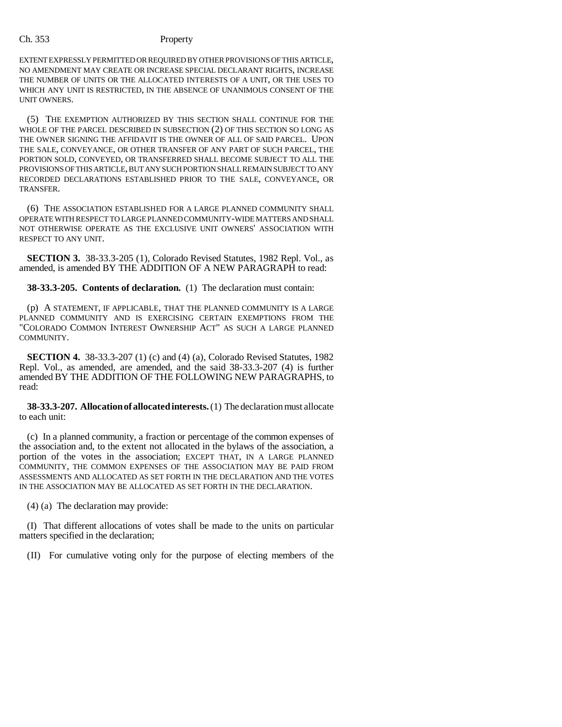EXTENT EXPRESSLY PERMITTED OR REQUIRED BY OTHER PROVISIONS OF THIS ARTICLE, NO AMENDMENT MAY CREATE OR INCREASE SPECIAL DECLARANT RIGHTS, INCREASE THE NUMBER OF UNITS OR THE ALLOCATED INTERESTS OF A UNIT, OR THE USES TO WHICH ANY UNIT IS RESTRICTED, IN THE ABSENCE OF UNANIMOUS CONSENT OF THE UNIT OWNERS.

(5) THE EXEMPTION AUTHORIZED BY THIS SECTION SHALL CONTINUE FOR THE WHOLE OF THE PARCEL DESCRIBED IN SUBSECTION (2) OF THIS SECTION SO LONG AS THE OWNER SIGNING THE AFFIDAVIT IS THE OWNER OF ALL OF SAID PARCEL. UPON THE SALE, CONVEYANCE, OR OTHER TRANSFER OF ANY PART OF SUCH PARCEL, THE PORTION SOLD, CONVEYED, OR TRANSFERRED SHALL BECOME SUBJECT TO ALL THE PROVISIONS OF THIS ARTICLE, BUT ANY SUCH PORTION SHALL REMAIN SUBJECT TO ANY RECORDED DECLARATIONS ESTABLISHED PRIOR TO THE SALE, CONVEYANCE, OR TRANSFER.

(6) THE ASSOCIATION ESTABLISHED FOR A LARGE PLANNED COMMUNITY SHALL OPERATE WITH RESPECT TO LARGE PLANNED COMMUNITY-WIDE MATTERS AND SHALL NOT OTHERWISE OPERATE AS THE EXCLUSIVE UNIT OWNERS' ASSOCIATION WITH RESPECT TO ANY UNIT.

**SECTION 3.** 38-33.3-205 (1), Colorado Revised Statutes, 1982 Repl. Vol., as amended, is amended BY THE ADDITION OF A NEW PARAGRAPH to read:

**38-33.3-205. Contents of declaration.** (1) The declaration must contain:

(p) A STATEMENT, IF APPLICABLE, THAT THE PLANNED COMMUNITY IS A LARGE PLANNED COMMUNITY AND IS EXERCISING CERTAIN EXEMPTIONS FROM THE "COLORADO COMMON INTEREST OWNERSHIP ACT" AS SUCH A LARGE PLANNED COMMUNITY.

**SECTION 4.** 38-33.3-207 (1) (c) and (4) (a), Colorado Revised Statutes, 1982 Repl. Vol., as amended, are amended, and the said 38-33.3-207 (4) is further amended BY THE ADDITION OF THE FOLLOWING NEW PARAGRAPHS, to read:

**38-33.3-207. Allocation of allocated interests.** (1) The declaration must allocate to each unit:

(c) In a planned community, a fraction or percentage of the common expenses of the association and, to the extent not allocated in the bylaws of the association, a portion of the votes in the association; EXCEPT THAT, IN A LARGE PLANNED COMMUNITY, THE COMMON EXPENSES OF THE ASSOCIATION MAY BE PAID FROM ASSESSMENTS AND ALLOCATED AS SET FORTH IN THE DECLARATION AND THE VOTES IN THE ASSOCIATION MAY BE ALLOCATED AS SET FORTH IN THE DECLARATION.

(4) (a) The declaration may provide:

(I) That different allocations of votes shall be made to the units on particular matters specified in the declaration;

(II) For cumulative voting only for the purpose of electing members of the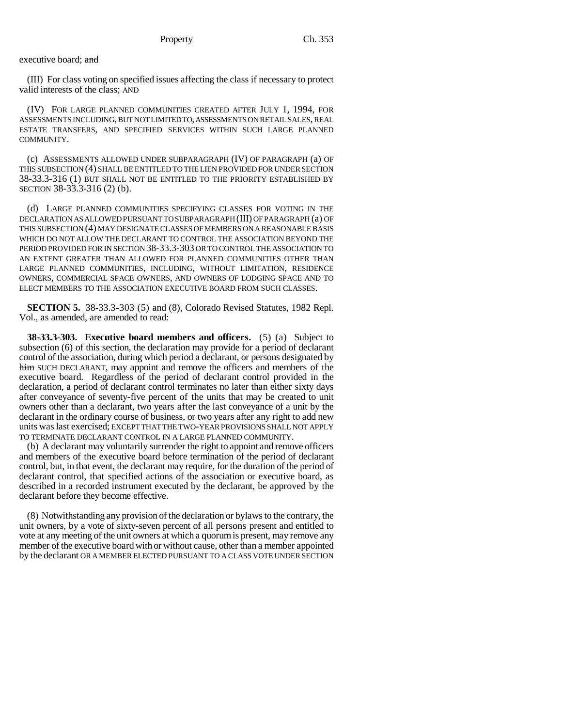executive board; and

(III) For class voting on specified issues affecting the class if necessary to protect valid interests of the class; AND

(IV) FOR LARGE PLANNED COMMUNITIES CREATED AFTER JULY 1, 1994, FOR ASSESSMENTS INCLUDING, BUT NOT LIMITED TO, ASSESSMENTS ON RETAIL SALES, REAL ESTATE TRANSFERS, AND SPECIFIED SERVICES WITHIN SUCH LARGE PLANNED COMMUNITY.

(c) ASSESSMENTS ALLOWED UNDER SUBPARAGRAPH (IV) OF PARAGRAPH (a) OF THIS SUBSECTION (4) SHALL BE ENTITLED TO THE LIEN PROVIDED FOR UNDER SECTION 38-33.3-316 (1) BUT SHALL NOT BE ENTITLED TO THE PRIORITY ESTABLISHED BY SECTION 38-33.3-316 (2) (b).

(d) LARGE PLANNED COMMUNITIES SPECIFYING CLASSES FOR VOTING IN THE DECLARATION AS ALLOWED PURSUANT TO SUBPARAGRAPH (III) OF PARAGRAPH (a) OF THIS SUBSECTION (4) MAY DESIGNATE CLASSES OF MEMBERS ON A REASONABLE BASIS WHICH DO NOT ALLOW THE DECLARANT TO CONTROL THE ASSOCIATION BEYOND THE PERIOD PROVIDED FOR IN SECTION 38-33.3-303 OR TO CONTROL THE ASSOCIATION TO AN EXTENT GREATER THAN ALLOWED FOR PLANNED COMMUNITIES OTHER THAN LARGE PLANNED COMMUNITIES, INCLUDING, WITHOUT LIMITATION, RESIDENCE OWNERS, COMMERCIAL SPACE OWNERS, AND OWNERS OF LODGING SPACE AND TO ELECT MEMBERS TO THE ASSOCIATION EXECUTIVE BOARD FROM SUCH CLASSES.

**SECTION 5.** 38-33.3-303 (5) and (8), Colorado Revised Statutes, 1982 Repl. Vol., as amended, are amended to read:

**38-33.3-303. Executive board members and officers.** (5) (a) Subject to subsection (6) of this section, the declaration may provide for a period of declarant control of the association, during which period a declarant, or persons designated by him SUCH DECLARANT, may appoint and remove the officers and members of the executive board. Regardless of the period of declarant control provided in the declaration, a period of declarant control terminates no later than either sixty days after conveyance of seventy-five percent of the units that may be created to unit owners other than a declarant, two years after the last conveyance of a unit by the declarant in the ordinary course of business, or two years after any right to add new units was last exercised; EXCEPT THAT THE TWO-YEAR PROVISIONS SHALL NOT APPLY TO TERMINATE DECLARANT CONTROL IN A LARGE PLANNED COMMUNITY.

(b) A declarant may voluntarily surrender the right to appoint and remove officers and members of the executive board before termination of the period of declarant control, but, in that event, the declarant may require, for the duration of the period of declarant control, that specified actions of the association or executive board, as described in a recorded instrument executed by the declarant, be approved by the declarant before they become effective.

(8) Notwithstanding any provision of the declaration or bylaws to the contrary, the unit owners, by a vote of sixty-seven percent of all persons present and entitled to vote at any meeting of the unit owners at which a quorum is present, may remove any member of the executive board with or without cause, other than a member appointed by the declarant OR A MEMBER ELECTED PURSUANT TO A CLASS VOTE UNDER SECTION